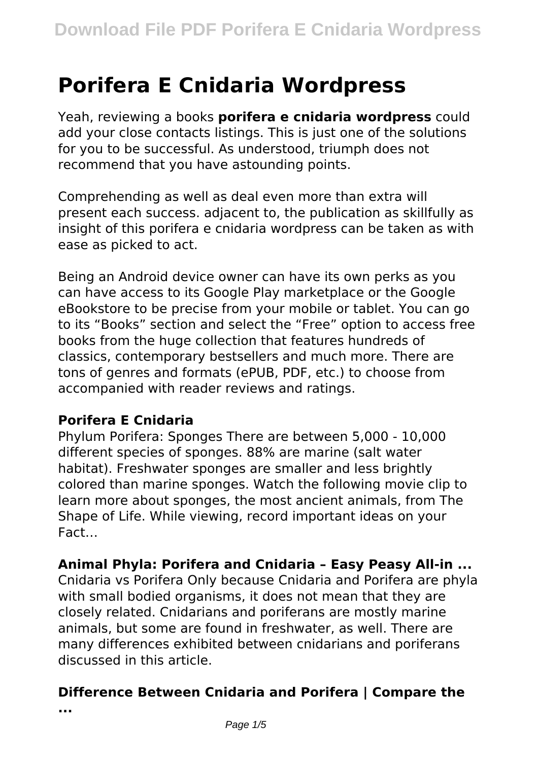# **Porifera E Cnidaria Wordpress**

Yeah, reviewing a books **porifera e cnidaria wordpress** could add your close contacts listings. This is just one of the solutions for you to be successful. As understood, triumph does not recommend that you have astounding points.

Comprehending as well as deal even more than extra will present each success. adjacent to, the publication as skillfully as insight of this porifera e cnidaria wordpress can be taken as with ease as picked to act.

Being an Android device owner can have its own perks as you can have access to its Google Play marketplace or the Google eBookstore to be precise from your mobile or tablet. You can go to its "Books" section and select the "Free" option to access free books from the huge collection that features hundreds of classics, contemporary bestsellers and much more. There are tons of genres and formats (ePUB, PDF, etc.) to choose from accompanied with reader reviews and ratings.

#### **Porifera E Cnidaria**

Phylum Porifera: Sponges There are between 5,000 - 10,000 different species of sponges. 88% are marine (salt water habitat). Freshwater sponges are smaller and less brightly colored than marine sponges. Watch the following movie clip to learn more about sponges, the most ancient animals, from The Shape of Life. While viewing, record important ideas on your Fact…

#### **Animal Phyla: Porifera and Cnidaria – Easy Peasy All-in ...**

Cnidaria vs Porifera Only because Cnidaria and Porifera are phyla with small bodied organisms, it does not mean that they are closely related. Cnidarians and poriferans are mostly marine animals, but some are found in freshwater, as well. There are many differences exhibited between cnidarians and poriferans discussed in this article.

### **Difference Between Cnidaria and Porifera | Compare the**

**...**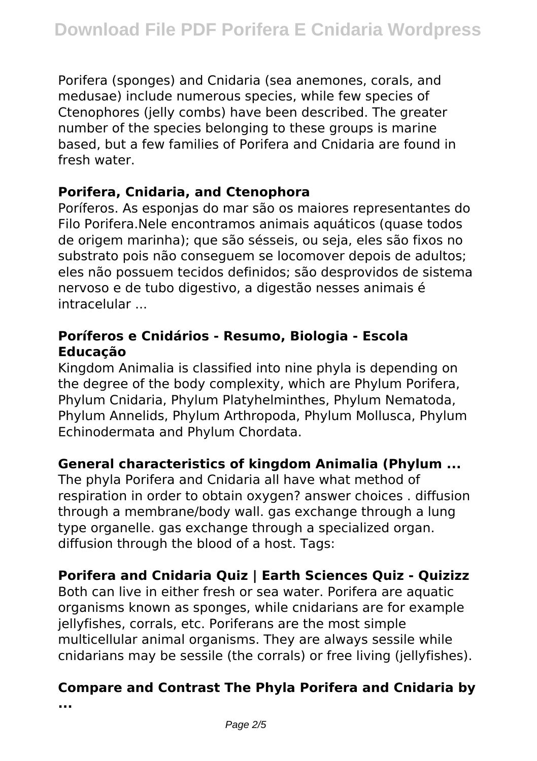Porifera (sponges) and Cnidaria (sea anemones, corals, and medusae) include numerous species, while few species of Ctenophores (jelly combs) have been described. The greater number of the species belonging to these groups is marine based, but a few families of Porifera and Cnidaria are found in fresh water.

#### **Porifera, Cnidaria, and Ctenophora**

Poríferos. As esponjas do mar são os maiores representantes do Filo Porifera.Nele encontramos animais aquáticos (quase todos de origem marinha); que são sésseis, ou seja, eles são fixos no substrato pois não conseguem se locomover depois de adultos; eles não possuem tecidos definidos; são desprovidos de sistema nervoso e de tubo digestivo, a digestão nesses animais é intracelular ...

#### **Poríferos e Cnidários - Resumo, Biologia - Escola Educação**

Kingdom Animalia is classified into nine phyla is depending on the degree of the body complexity, which are Phylum Porifera, Phylum Cnidaria, Phylum Platyhelminthes, Phylum Nematoda, Phylum Annelids, Phylum Arthropoda, Phylum Mollusca, Phylum Echinodermata and Phylum Chordata.

#### **General characteristics of kingdom Animalia (Phylum ...**

The phyla Porifera and Cnidaria all have what method of respiration in order to obtain oxygen? answer choices . diffusion through a membrane/body wall. gas exchange through a lung type organelle. gas exchange through a specialized organ. diffusion through the blood of a host. Tags:

### **Porifera and Cnidaria Quiz | Earth Sciences Quiz - Quizizz**

Both can live in either fresh or sea water. Porifera are aquatic organisms known as sponges, while cnidarians are for example jellyfishes, corrals, etc. Poriferans are the most simple multicellular animal organisms. They are always sessile while cnidarians may be sessile (the corrals) or free living (jellyfishes).

#### **Compare and Contrast The Phyla Porifera and Cnidaria by ...**

Page  $2/5$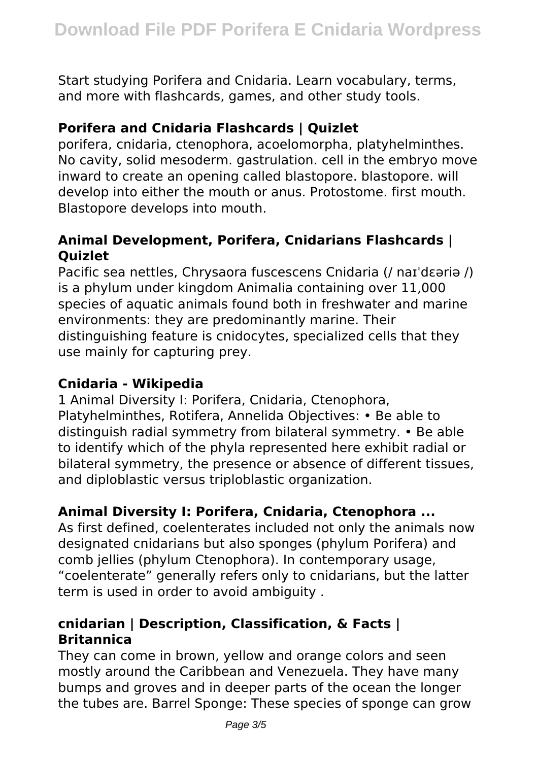Start studying Porifera and Cnidaria. Learn vocabulary, terms, and more with flashcards, games, and other study tools.

#### **Porifera and Cnidaria Flashcards | Quizlet**

porifera, cnidaria, ctenophora, acoelomorpha, platyhelminthes. No cavity, solid mesoderm. gastrulation. cell in the embryo move inward to create an opening called blastopore. blastopore. will develop into either the mouth or anus. Protostome. first mouth. Blastopore develops into mouth.

#### **Animal Development, Porifera, Cnidarians Flashcards | Quizlet**

Pacific sea nettles, Chrysaora fuscescens Cnidaria (/ naɪˈdɛəriə /) is a phylum under kingdom Animalia containing over 11,000 species of aquatic animals found both in freshwater and marine environments: they are predominantly marine. Their distinguishing feature is cnidocytes, specialized cells that they use mainly for capturing prey.

#### **Cnidaria - Wikipedia**

1 Animal Diversity I: Porifera, Cnidaria, Ctenophora, Platyhelminthes, Rotifera, Annelida Objectives: • Be able to distinguish radial symmetry from bilateral symmetry. • Be able to identify which of the phyla represented here exhibit radial or bilateral symmetry, the presence or absence of different tissues, and diploblastic versus triploblastic organization.

#### **Animal Diversity I: Porifera, Cnidaria, Ctenophora ...**

As first defined, coelenterates included not only the animals now designated cnidarians but also sponges (phylum Porifera) and comb jellies (phylum Ctenophora). In contemporary usage, "coelenterate" generally refers only to cnidarians, but the latter term is used in order to avoid ambiguity .

#### **cnidarian | Description, Classification, & Facts | Britannica**

They can come in brown, yellow and orange colors and seen mostly around the Caribbean and Venezuela. They have many bumps and groves and in deeper parts of the ocean the longer the tubes are. Barrel Sponge: These species of sponge can grow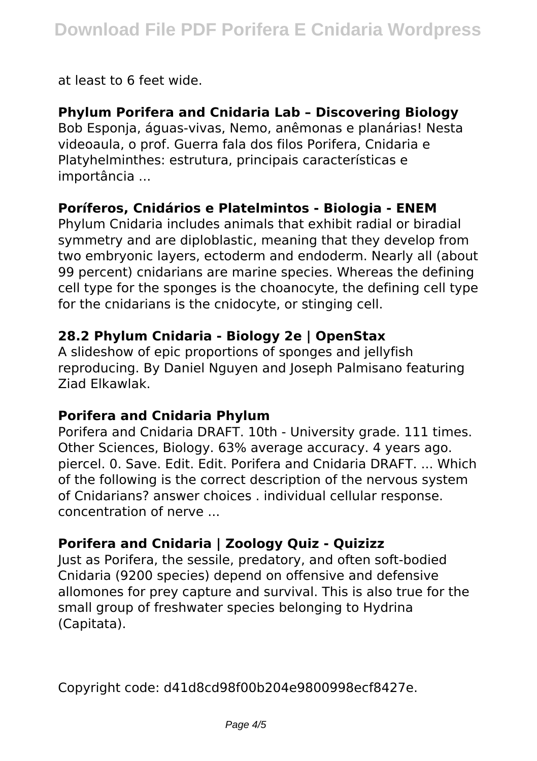at least to 6 feet wide.

#### **Phylum Porifera and Cnidaria Lab – Discovering Biology**

Bob Esponja, águas-vivas, Nemo, anêmonas e planárias! Nesta videoaula, o prof. Guerra fala dos filos Porifera, Cnidaria e Platyhelminthes: estrutura, principais características e importância ...

#### **Poríferos, Cnidários e Platelmintos - Biologia - ENEM**

Phylum Cnidaria includes animals that exhibit radial or biradial symmetry and are diploblastic, meaning that they develop from two embryonic layers, ectoderm and endoderm. Nearly all (about 99 percent) cnidarians are marine species. Whereas the defining cell type for the sponges is the choanocyte, the defining cell type for the cnidarians is the cnidocyte, or stinging cell.

#### **28.2 Phylum Cnidaria - Biology 2e | OpenStax**

A slideshow of epic proportions of sponges and jellyfish reproducing. By Daniel Nguyen and Joseph Palmisano featuring Ziad Elkawlak.

#### **Porifera and Cnidaria Phylum**

Porifera and Cnidaria DRAFT. 10th - University grade. 111 times. Other Sciences, Biology. 63% average accuracy. 4 years ago. piercel. 0. Save. Edit. Edit. Porifera and Cnidaria DRAFT. ... Which of the following is the correct description of the nervous system of Cnidarians? answer choices . individual cellular response. concentration of nerve ...

#### **Porifera and Cnidaria | Zoology Quiz - Quizizz**

Just as Porifera, the sessile, predatory, and often soft-bodied Cnidaria (9200 species) depend on offensive and defensive allomones for prey capture and survival. This is also true for the small group of freshwater species belonging to Hydrina (Capitata).

Copyright code: d41d8cd98f00b204e9800998ecf8427e.